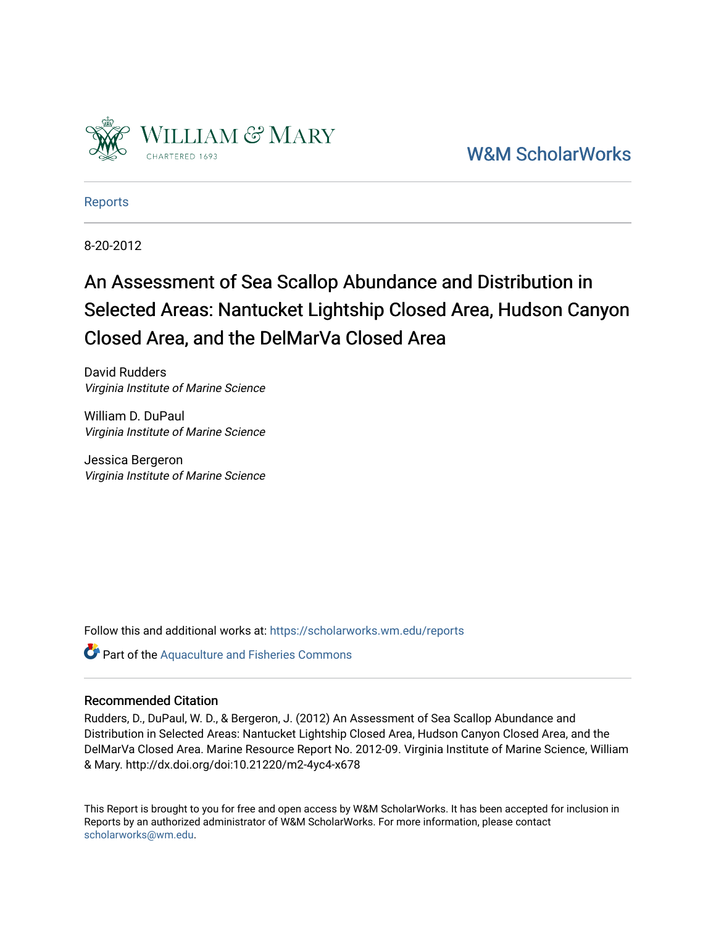

[W&M ScholarWorks](https://scholarworks.wm.edu/) 

[Reports](https://scholarworks.wm.edu/reports)

8-20-2012

# An Assessment of Sea Scallop Abundance and Distribution in Selected Areas: Nantucket Lightship Closed Area, Hudson Canyon Closed Area, and the DelMarVa Closed Area

David Rudders Virginia Institute of Marine Science

William D. DuPaul Virginia Institute of Marine Science

Jessica Bergeron Virginia Institute of Marine Science

Follow this and additional works at: [https://scholarworks.wm.edu/reports](https://scholarworks.wm.edu/reports?utm_source=scholarworks.wm.edu%2Freports%2F1455&utm_medium=PDF&utm_campaign=PDFCoverPages)

**Part of the [Aquaculture and Fisheries Commons](http://network.bepress.com/hgg/discipline/78?utm_source=scholarworks.wm.edu%2Freports%2F1455&utm_medium=PDF&utm_campaign=PDFCoverPages)** 

## Recommended Citation

Rudders, D., DuPaul, W. D., & Bergeron, J. (2012) An Assessment of Sea Scallop Abundance and Distribution in Selected Areas: Nantucket Lightship Closed Area, Hudson Canyon Closed Area, and the DelMarVa Closed Area. Marine Resource Report No. 2012-09. Virginia Institute of Marine Science, William & Mary. http://dx.doi.org/doi:10.21220/m2-4yc4-x678

This Report is brought to you for free and open access by W&M ScholarWorks. It has been accepted for inclusion in Reports by an authorized administrator of W&M ScholarWorks. For more information, please contact [scholarworks@wm.edu.](mailto:scholarworks@wm.edu)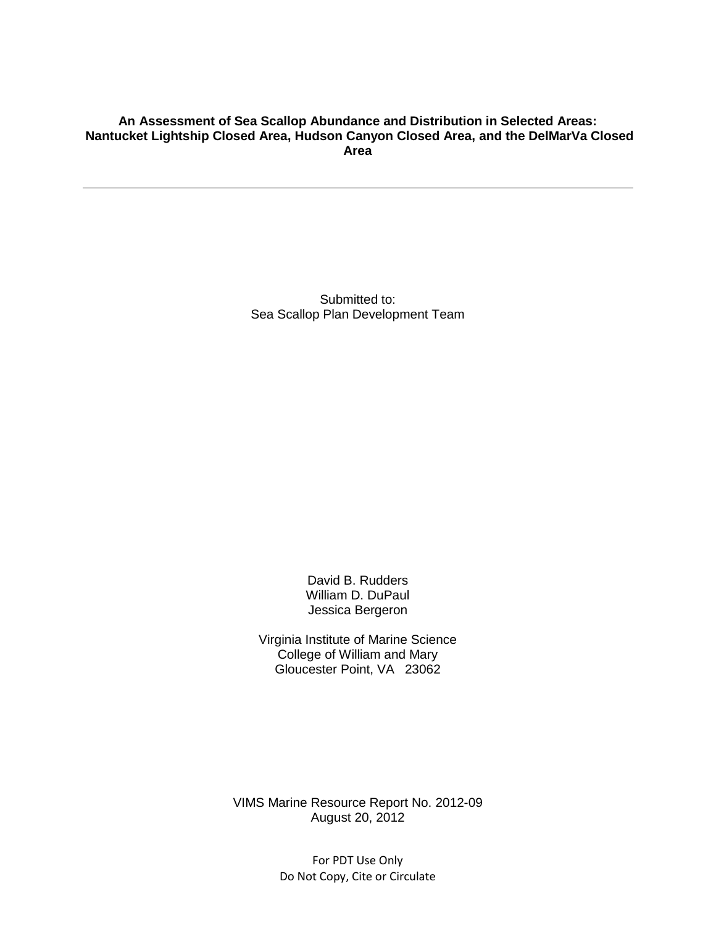## **An Assessment of Sea Scallop Abundance and Distribution in Selected Areas: Nantucket Lightship Closed Area, Hudson Canyon Closed Area, and the DelMarVa Closed Area**

Submitted to: Sea Scallop Plan Development Team

> David B. Rudders William D. DuPaul Jessica Bergeron

Virginia Institute of Marine Science College of William and Mary Gloucester Point, VA 23062

VIMS Marine Resource Report No. 2012-09 August 20, 2012

> For PDT Use Only Do Not Copy, Cite or Circulate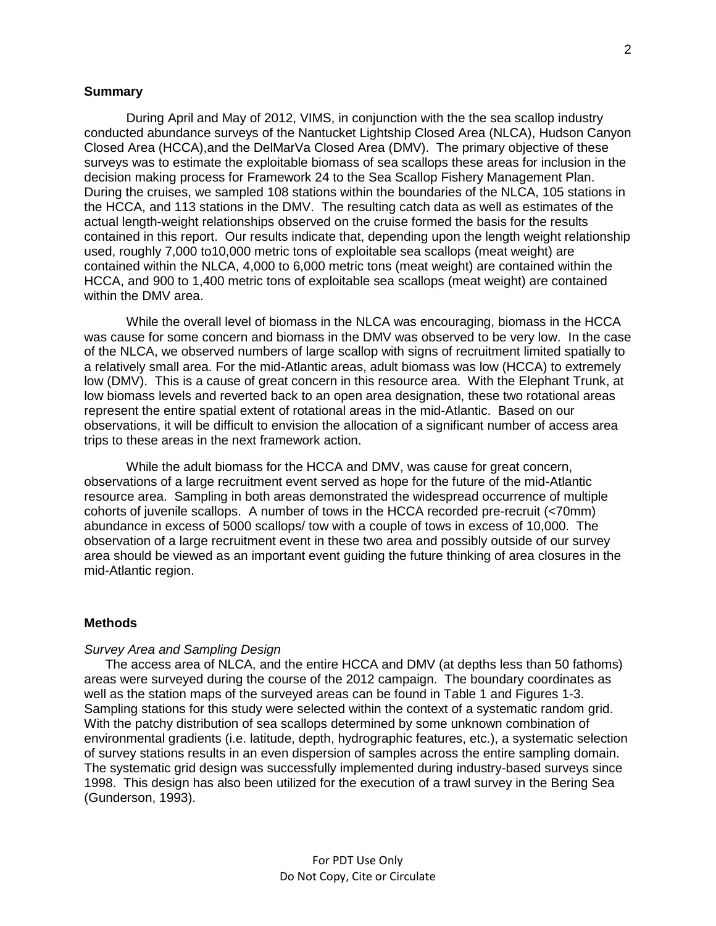## **Summary**

During April and May of 2012, VIMS, in conjunction with the the sea scallop industry conducted abundance surveys of the Nantucket Lightship Closed Area (NLCA), Hudson Canyon Closed Area (HCCA),and the DelMarVa Closed Area (DMV). The primary objective of these surveys was to estimate the exploitable biomass of sea scallops these areas for inclusion in the decision making process for Framework 24 to the Sea Scallop Fishery Management Plan. During the cruises, we sampled 108 stations within the boundaries of the NLCA, 105 stations in the HCCA, and 113 stations in the DMV. The resulting catch data as well as estimates of the actual length-weight relationships observed on the cruise formed the basis for the results contained in this report. Our results indicate that, depending upon the length weight relationship used, roughly 7,000 to10,000 metric tons of exploitable sea scallops (meat weight) are contained within the NLCA, 4,000 to 6,000 metric tons (meat weight) are contained within the HCCA, and 900 to 1,400 metric tons of exploitable sea scallops (meat weight) are contained within the DMV area.

While the overall level of biomass in the NLCA was encouraging, biomass in the HCCA was cause for some concern and biomass in the DMV was observed to be very low. In the case of the NLCA, we observed numbers of large scallop with signs of recruitment limited spatially to a relatively small area. For the mid-Atlantic areas, adult biomass was low (HCCA) to extremely low (DMV). This is a cause of great concern in this resource area. With the Elephant Trunk, at low biomass levels and reverted back to an open area designation, these two rotational areas represent the entire spatial extent of rotational areas in the mid-Atlantic. Based on our observations, it will be difficult to envision the allocation of a significant number of access area trips to these areas in the next framework action.

While the adult biomass for the HCCA and DMV, was cause for great concern, observations of a large recruitment event served as hope for the future of the mid-Atlantic resource area. Sampling in both areas demonstrated the widespread occurrence of multiple cohorts of juvenile scallops. A number of tows in the HCCA recorded pre-recruit (<70mm) abundance in excess of 5000 scallops/ tow with a couple of tows in excess of 10,000. The observation of a large recruitment event in these two area and possibly outside of our survey area should be viewed as an important event guiding the future thinking of area closures in the mid-Atlantic region.

#### **Methods**

#### *Survey Area and Sampling Design*

The access area of NLCA, and the entire HCCA and DMV (at depths less than 50 fathoms) areas were surveyed during the course of the 2012 campaign. The boundary coordinates as well as the station maps of the surveyed areas can be found in Table 1 and Figures 1-3. Sampling stations for this study were selected within the context of a systematic random grid. With the patchy distribution of sea scallops determined by some unknown combination of environmental gradients (i.e. latitude, depth, hydrographic features, etc.), a systematic selection of survey stations results in an even dispersion of samples across the entire sampling domain. The systematic grid design was successfully implemented during industry-based surveys since 1998. This design has also been utilized for the execution of a trawl survey in the Bering Sea (Gunderson, 1993).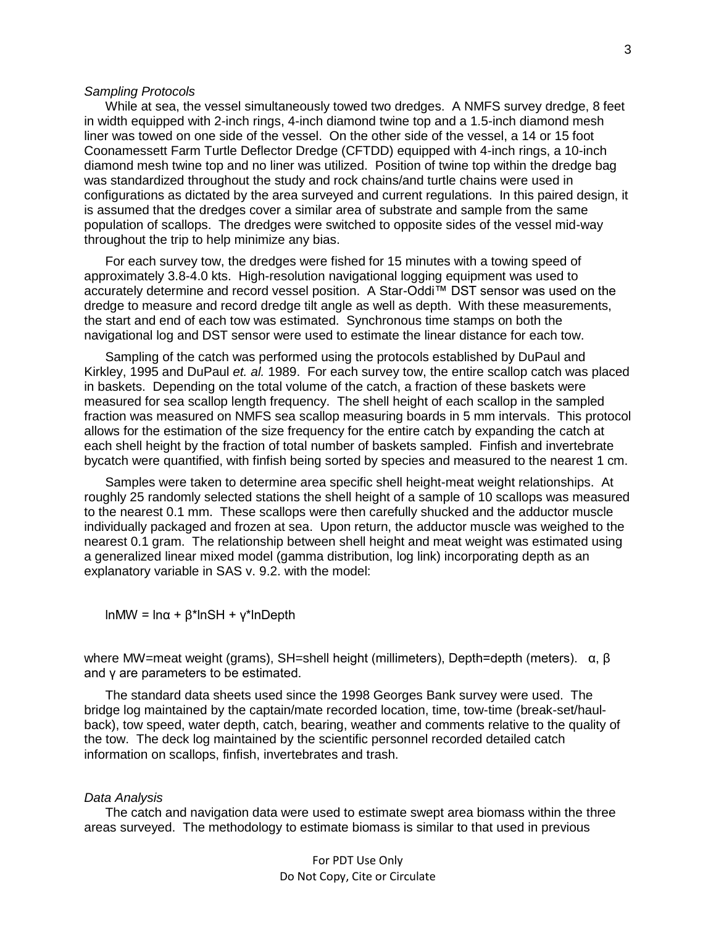#### *Sampling Protocols*

While at sea, the vessel simultaneously towed two dredges. A NMFS survey dredge, 8 feet in width equipped with 2-inch rings, 4-inch diamond twine top and a 1.5-inch diamond mesh liner was towed on one side of the vessel. On the other side of the vessel, a 14 or 15 foot Coonamessett Farm Turtle Deflector Dredge (CFTDD) equipped with 4-inch rings, a 10-inch diamond mesh twine top and no liner was utilized. Position of twine top within the dredge bag was standardized throughout the study and rock chains/and turtle chains were used in configurations as dictated by the area surveyed and current regulations. In this paired design, it is assumed that the dredges cover a similar area of substrate and sample from the same population of scallops. The dredges were switched to opposite sides of the vessel mid-way throughout the trip to help minimize any bias.

For each survey tow, the dredges were fished for 15 minutes with a towing speed of approximately 3.8-4.0 kts. High-resolution navigational logging equipment was used to accurately determine and record vessel position. A Star-Oddi™ DST sensor was used on the dredge to measure and record dredge tilt angle as well as depth. With these measurements, the start and end of each tow was estimated. Synchronous time stamps on both the navigational log and DST sensor were used to estimate the linear distance for each tow.

Sampling of the catch was performed using the protocols established by DuPaul and Kirkley, 1995 and DuPaul *et. al.* 1989. For each survey tow, the entire scallop catch was placed in baskets. Depending on the total volume of the catch, a fraction of these baskets were measured for sea scallop length frequency. The shell height of each scallop in the sampled fraction was measured on NMFS sea scallop measuring boards in 5 mm intervals. This protocol allows for the estimation of the size frequency for the entire catch by expanding the catch at each shell height by the fraction of total number of baskets sampled. Finfish and invertebrate bycatch were quantified, with finfish being sorted by species and measured to the nearest 1 cm.

Samples were taken to determine area specific shell height-meat weight relationships. At roughly 25 randomly selected stations the shell height of a sample of 10 scallops was measured to the nearest 0.1 mm. These scallops were then carefully shucked and the adductor muscle individually packaged and frozen at sea. Upon return, the adductor muscle was weighed to the nearest 0.1 gram. The relationship between shell height and meat weight was estimated using a generalized linear mixed model (gamma distribution, log link) incorporating depth as an explanatory variable in SAS v. 9.2. with the model:

lnMW = lnα + β\*lnSH + γ\*lnDepth

where MW=meat weight (grams), SH=shell height (millimeters), Depth=depth (meters).  $\alpha$ , β and γ are parameters to be estimated.

The standard data sheets used since the 1998 Georges Bank survey were used. The bridge log maintained by the captain/mate recorded location, time, tow-time (break-set/haulback), tow speed, water depth, catch, bearing, weather and comments relative to the quality of the tow. The deck log maintained by the scientific personnel recorded detailed catch information on scallops, finfish, invertebrates and trash.

## *Data Analysis*

The catch and navigation data were used to estimate swept area biomass within the three areas surveyed. The methodology to estimate biomass is similar to that used in previous

For PDT Use Only Do Not Copy, Cite or Circulate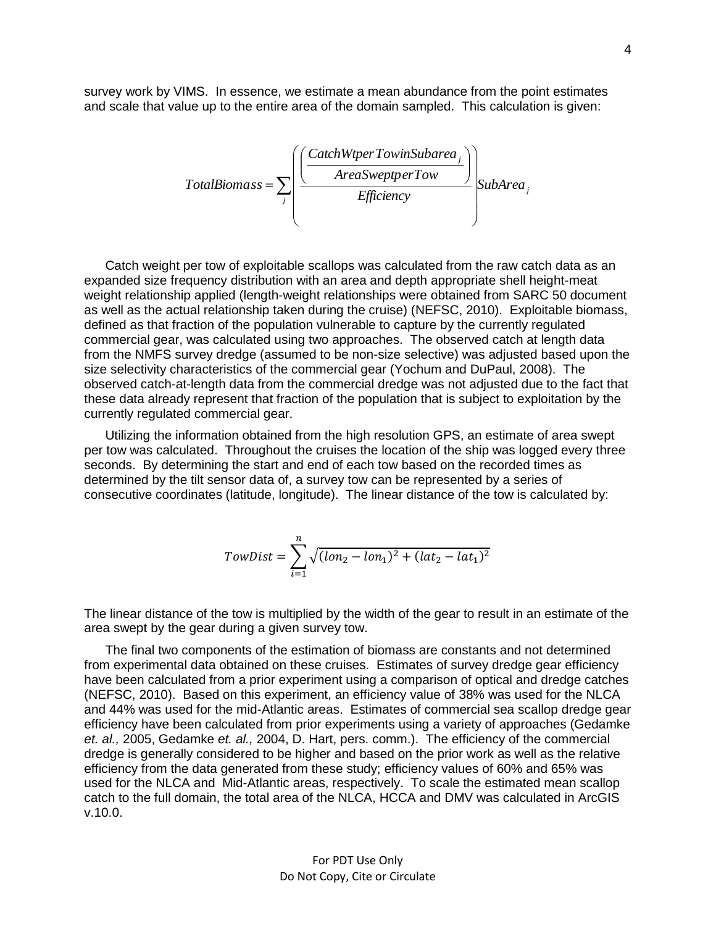survey work by VIMS. In essence, we estimate a mean abundance from the point estimates and scale that value up to the entire area of the domain sampled. This calculation is given:

$$
TotalBiomass = \sum_{j} \left( \frac{CacheWtperTowinSubarea_j}{AreaSweptperTow} \right) \left\{ \frac{SubArea_j}{Efficiency} \right\}
$$

Catch weight per tow of exploitable scallops was calculated from the raw catch data as an expanded size frequency distribution with an area and depth appropriate shell height-meat weight relationship applied (length-weight relationships were obtained from SARC 50 document as well as the actual relationship taken during the cruise) (NEFSC, 2010). Exploitable biomass, defined as that fraction of the population vulnerable to capture by the currently regulated commercial gear, was calculated using two approaches. The observed catch at length data from the NMFS survey dredge (assumed to be non-size selective) was adjusted based upon the size selectivity characteristics of the commercial gear (Yochum and DuPaul, 2008). The observed catch-at-length data from the commercial dredge was not adjusted due to the fact that these data already represent that fraction of the population that is subject to exploitation by the currently regulated commercial gear.

Utilizing the information obtained from the high resolution GPS, an estimate of area swept per tow was calculated. Throughout the cruises the location of the ship was logged every three seconds. By determining the start and end of each tow based on the recorded times as determined by the tilt sensor data of, a survey tow can be represented by a series of consecutive coordinates (latitude, longitude). The linear distance of the tow is calculated by:

$$
TowDist = \sum_{i=1}^{n} \sqrt{(lon_2 - lon_1)^2 + (lat_2 - lat_1)^2}
$$

The linear distance of the tow is multiplied by the width of the gear to result in an estimate of the area swept by the gear during a given survey tow.

The final two components of the estimation of biomass are constants and not determined from experimental data obtained on these cruises. Estimates of survey dredge gear efficiency have been calculated from a prior experiment using a comparison of optical and dredge catches (NEFSC, 2010). Based on this experiment, an efficiency value of 38% was used for the NLCA and 44% was used for the mid-Atlantic areas. Estimates of commercial sea scallop dredge gear efficiency have been calculated from prior experiments using a variety of approaches (Gedamke *et. al.,* 2005, Gedamke *et. al.,* 2004, D. Hart, pers. comm.). The efficiency of the commercial dredge is generally considered to be higher and based on the prior work as well as the relative efficiency from the data generated from these study; efficiency values of 60% and 65% was used for the NLCA and Mid-Atlantic areas, respectively. To scale the estimated mean scallop catch to the full domain, the total area of the NLCA, HCCA and DMV was calculated in ArcGIS v.10.0.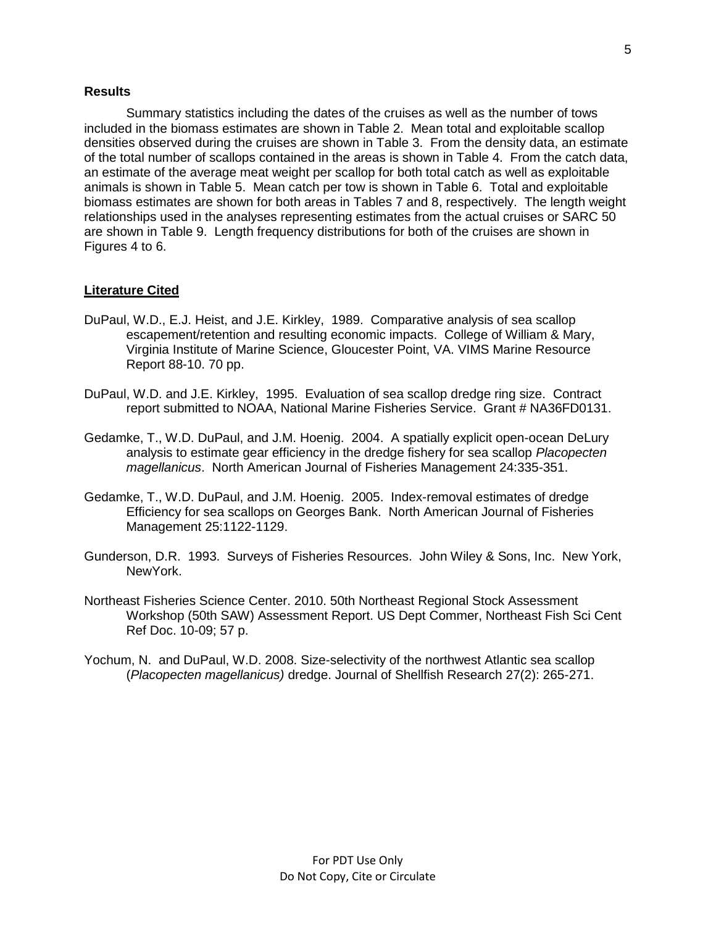### **Results**

Summary statistics including the dates of the cruises as well as the number of tows included in the biomass estimates are shown in Table 2. Mean total and exploitable scallop densities observed during the cruises are shown in Table 3. From the density data, an estimate of the total number of scallops contained in the areas is shown in Table 4. From the catch data, an estimate of the average meat weight per scallop for both total catch as well as exploitable animals is shown in Table 5. Mean catch per tow is shown in Table 6. Total and exploitable biomass estimates are shown for both areas in Tables 7 and 8, respectively. The length weight relationships used in the analyses representing estimates from the actual cruises or SARC 50 are shown in Table 9. Length frequency distributions for both of the cruises are shown in Figures 4 to 6.

#### **Literature Cited**

- DuPaul, W.D., E.J. Heist, and J.E. Kirkley, 1989. Comparative analysis of sea scallop escapement/retention and resulting economic impacts. College of William & Mary, Virginia Institute of Marine Science, Gloucester Point, VA. VIMS Marine Resource Report 88-10. 70 pp.
- DuPaul, W.D. and J.E. Kirkley, 1995. Evaluation of sea scallop dredge ring size. Contract report submitted to NOAA, National Marine Fisheries Service. Grant # NA36FD0131.
- Gedamke, T., W.D. DuPaul, and J.M. Hoenig. 2004. A spatially explicit open-ocean DeLury analysis to estimate gear efficiency in the dredge fishery for sea scallop *Placopecten magellanicus*. North American Journal of Fisheries Management 24:335-351.
- Gedamke, T., W.D. DuPaul, and J.M. Hoenig. 2005. Index-removal estimates of dredge Efficiency for sea scallops on Georges Bank. North American Journal of Fisheries Management 25:1122-1129.
- Gunderson, D.R. 1993. Surveys of Fisheries Resources. John Wiley & Sons, Inc. New York, NewYork.
- Northeast Fisheries Science Center. 2010. 50th Northeast Regional Stock Assessment Workshop (50th SAW) Assessment Report. US Dept Commer, Northeast Fish Sci Cent Ref Doc. 10-09; 57 p.
- Yochum, N. and DuPaul, W.D. 2008. Size-selectivity of the northwest Atlantic sea scallop (*Placopecten magellanicus)* dredge. Journal of Shellfish Research 27(2): 265-271.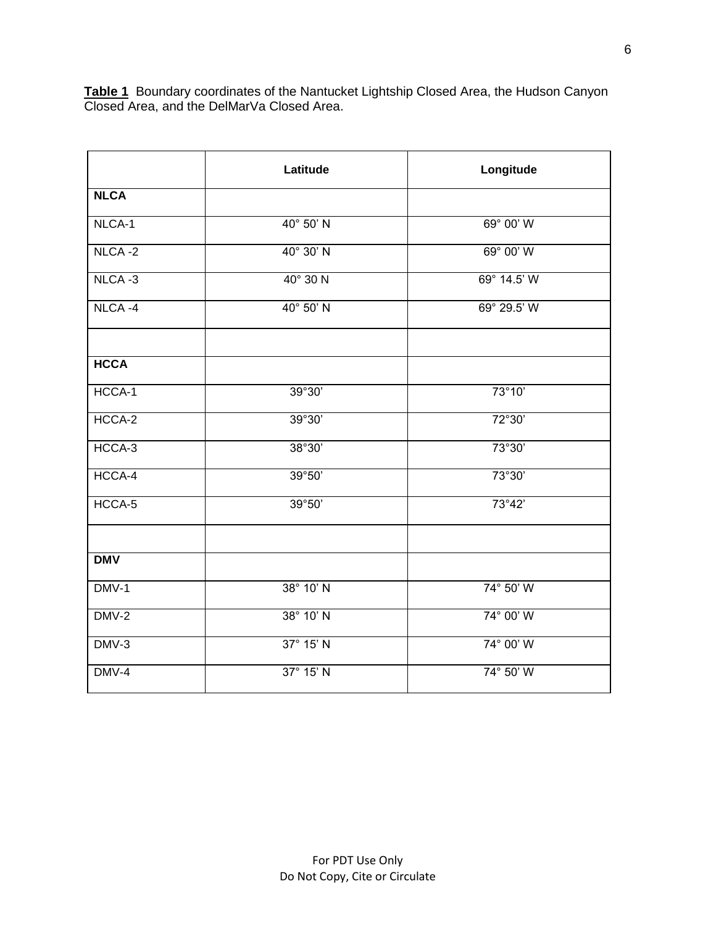|             | Latitude         | Longitude            |
|-------------|------------------|----------------------|
| <b>NLCA</b> |                  |                      |
| NLCA-1      | 40° 50' N        | 69° 00' W            |
| $NICA -2$   | 40° 30' N        | 69° 00' W            |
| NLCA-3      | $40^\circ$ 30 N  | 69° 14.5' W          |
| NLCA-4      | 40° 50' N        | $69^{\circ}$ 29.5' W |
|             |                  |                      |
| <b>HCCA</b> |                  |                      |
| HCCA-1      | 39°30'           | 73°10'               |
| HCCA-2      | 39°30'           | 72°30'               |
| HCCA-3      | 38°30'           | 73°30'               |
| HCCA-4      | 39°50'           | 73°30'               |
| HCCA-5      | 39°50'           | 73°42'               |
|             |                  |                      |
| <b>DMV</b>  |                  |                      |
| DMV-1       | 38° 10' N        | $74^\circ 50' W$     |
| DMV-2       | 38° 10' N        | 74° 00' W            |
| $DMV-3$     | 37° 15' N        | 74° 00' W            |
| DMV-4       | $37^\circ 15' N$ | 74° 50' W            |

**Table 1** Boundary coordinates of the Nantucket Lightship Closed Area, the Hudson Canyon Closed Area, and the DelMarVa Closed Area.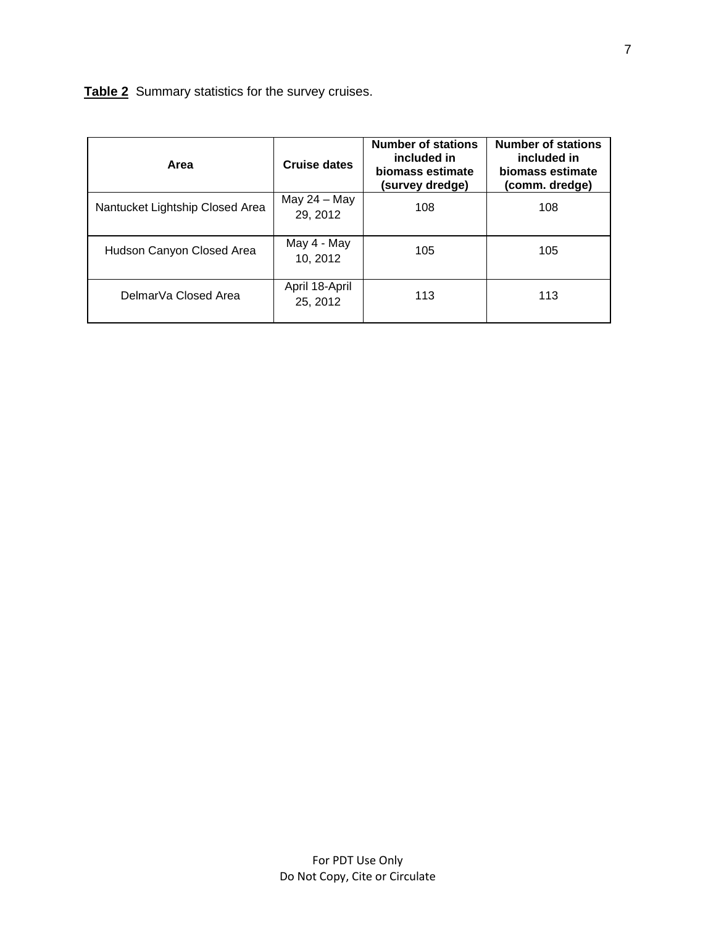| Table 2 Summary statistics for the survey cruises. |
|----------------------------------------------------|
|----------------------------------------------------|

| Area                            | Cruise dates               | <b>Number of stations</b><br>included in<br>biomass estimate<br>(survey dredge) | <b>Number of stations</b><br>included in<br>biomass estimate<br>(comm. dredge) |
|---------------------------------|----------------------------|---------------------------------------------------------------------------------|--------------------------------------------------------------------------------|
| Nantucket Lightship Closed Area | May $24 -$ May<br>29, 2012 | 108                                                                             | 108                                                                            |
| Hudson Canyon Closed Area       | May 4 - May<br>10, 2012    | 105                                                                             | 105                                                                            |
| DelmarVa Closed Area            | April 18-April<br>25, 2012 | 113                                                                             | 113                                                                            |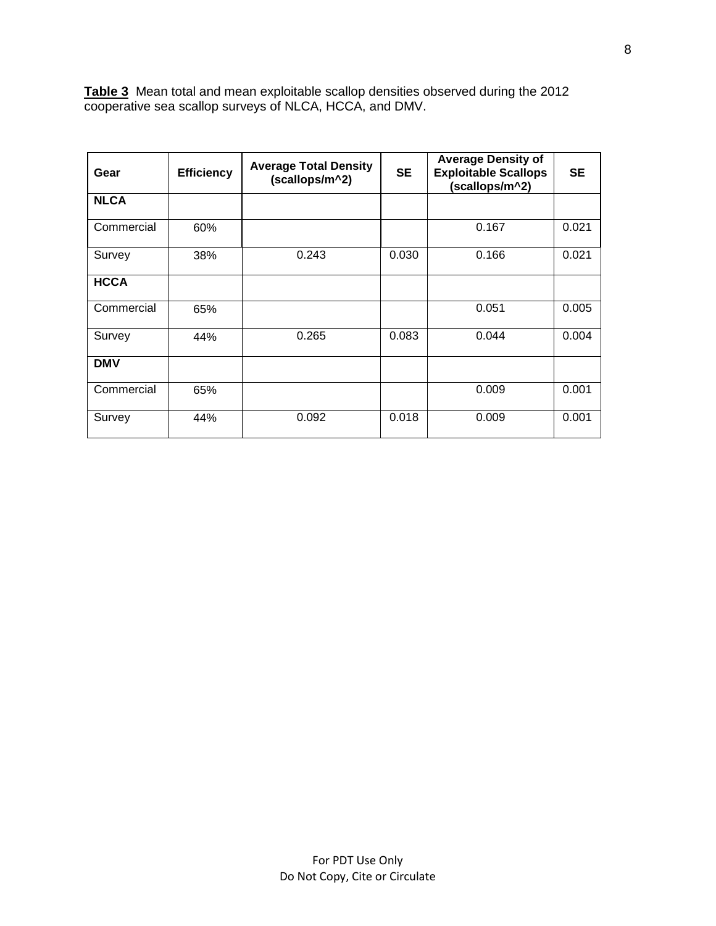**Table 3** Mean total and mean exploitable scallop densities observed during the 2012 cooperative sea scallop surveys of NLCA, HCCA, and DMV.

| Gear        | <b>Efficiency</b> | <b>Average Total Density</b><br>(scallops/m^2) | <b>SE</b> | <b>Average Density of</b><br><b>Exploitable Scallops</b><br>(scallops/m^2) | <b>SE</b> |
|-------------|-------------------|------------------------------------------------|-----------|----------------------------------------------------------------------------|-----------|
| <b>NLCA</b> |                   |                                                |           |                                                                            |           |
| Commercial  | 60%               |                                                |           | 0.167                                                                      | 0.021     |
| Survey      | 38%               | 0.243                                          | 0.030     | 0.166                                                                      | 0.021     |
| <b>HCCA</b> |                   |                                                |           |                                                                            |           |
| Commercial  | 65%               |                                                |           | 0.051                                                                      | 0.005     |
| Survey      | 44%               | 0.265                                          | 0.083     | 0.044                                                                      | 0.004     |
| <b>DMV</b>  |                   |                                                |           |                                                                            |           |
| Commercial  | 65%               |                                                |           | 0.009                                                                      | 0.001     |
| Survey      | 44%               | 0.092                                          | 0.018     | 0.009                                                                      | 0.001     |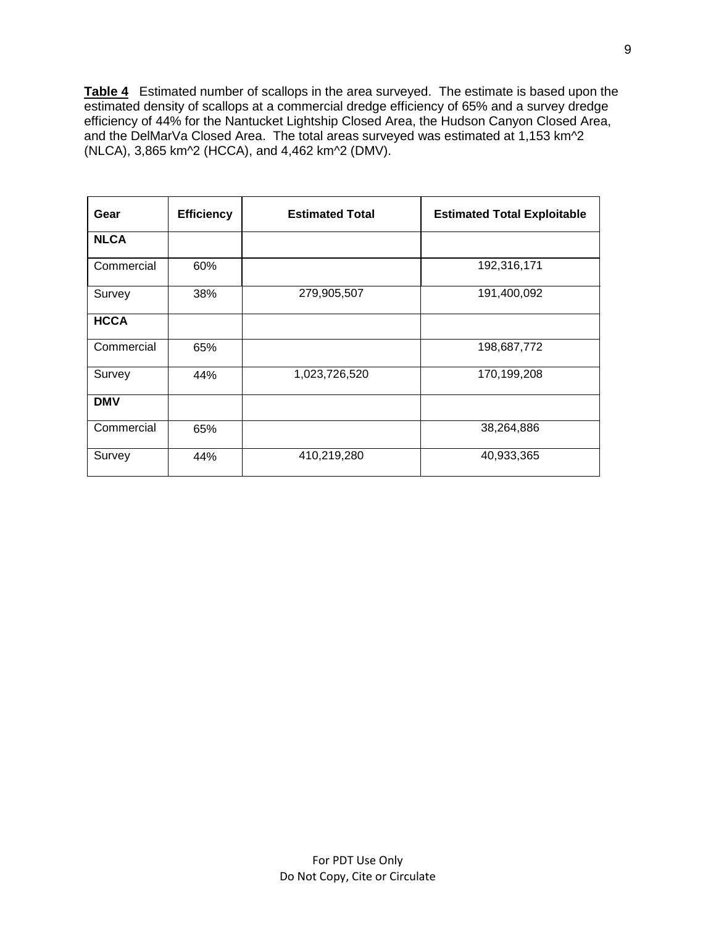**Table 4** Estimated number of scallops in the area surveyed. The estimate is based upon the estimated density of scallops at a commercial dredge efficiency of 65% and a survey dredge efficiency of 44% for the Nantucket Lightship Closed Area, the Hudson Canyon Closed Area, and the DelMarVa Closed Area. The total areas surveyed was estimated at 1,153 km<sup>2</sup>2 (NLCA), 3,865 km^2 (HCCA), and 4,462 km^2 (DMV).

| Gear        | <b>Efficiency</b> | <b>Estimated Total</b> | <b>Estimated Total Exploitable</b> |
|-------------|-------------------|------------------------|------------------------------------|
| <b>NLCA</b> |                   |                        |                                    |
| Commercial  | 60%               |                        | 192,316,171                        |
| Survey      | 38%               | 279,905,507            | 191,400,092                        |
| <b>HCCA</b> |                   |                        |                                    |
| Commercial  | 65%               |                        | 198,687,772                        |
| Survey      | 44%               | 1,023,726,520          | 170,199,208                        |
| <b>DMV</b>  |                   |                        |                                    |
| Commercial  | 65%               |                        | 38,264,886                         |
| Survey      | 44%               | 410,219,280            | 40,933,365                         |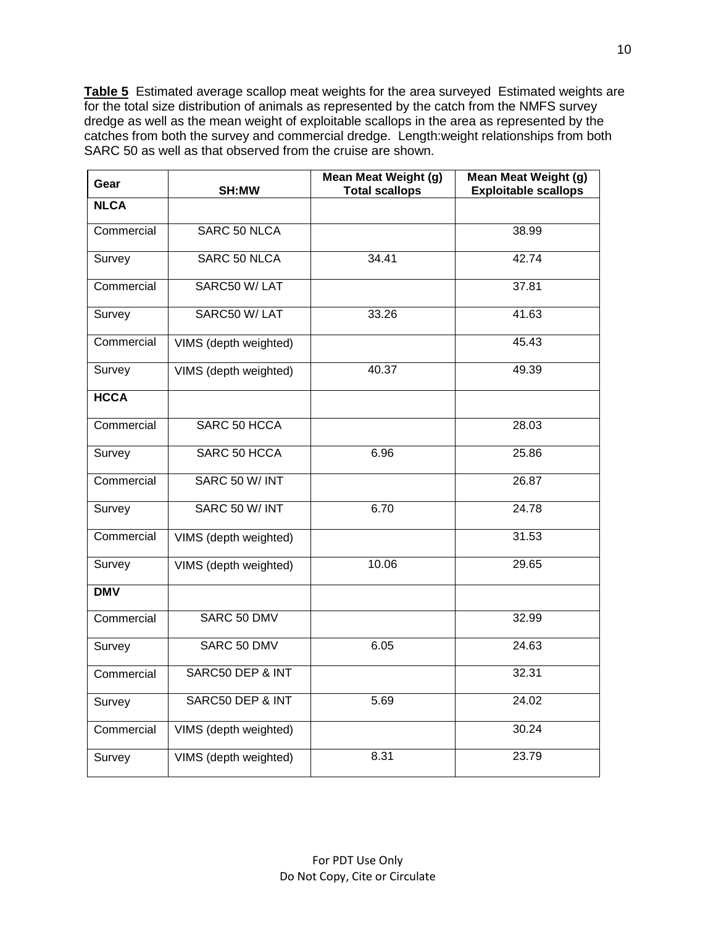**Table 5** Estimated average scallop meat weights for the area surveyed Estimated weights are for the total size distribution of animals as represented by the catch from the NMFS survey dredge as well as the mean weight of exploitable scallops in the area as represented by the catches from both the survey and commercial dredge. Length:weight relationships from both SARC 50 as well as that observed from the cruise are shown.

| Gear        | SH:MW                 | <b>Mean Meat Weight (g)</b><br><b>Total scallops</b> | <b>Mean Meat Weight (g)</b><br><b>Exploitable scallops</b> |
|-------------|-----------------------|------------------------------------------------------|------------------------------------------------------------|
| <b>NLCA</b> |                       |                                                      |                                                            |
| Commercial  | SARC 50 NLCA          |                                                      | 38.99                                                      |
| Survey      | SARC 50 NLCA          | 34.41                                                | 42.74                                                      |
| Commercial  | SARC50 W/LAT          |                                                      | 37.81                                                      |
| Survey      | SARC50 W/LAT          | 33.26                                                | 41.63                                                      |
| Commercial  | VIMS (depth weighted) |                                                      | 45.43                                                      |
| Survey      | VIMS (depth weighted) | 40.37                                                | 49.39                                                      |
| <b>HCCA</b> |                       |                                                      |                                                            |
| Commercial  | SARC 50 HCCA          |                                                      | 28.03                                                      |
| Survey      | SARC 50 HCCA          | 6.96                                                 | 25.86                                                      |
| Commercial  | SARC 50 W/ INT        |                                                      | 26.87                                                      |
| Survey      | SARC 50 W/ INT        | 6.70                                                 | 24.78                                                      |
| Commercial  | VIMS (depth weighted) |                                                      | 31.53                                                      |
| Survey      | VIMS (depth weighted) | 10.06                                                | 29.65                                                      |
| <b>DMV</b>  |                       |                                                      |                                                            |
| Commercial  | SARC 50 DMV           |                                                      | 32.99                                                      |
| Survey      | SARC 50 DMV           | 6.05                                                 | 24.63                                                      |
| Commercial  | SARC50 DEP & INT      |                                                      | 32.31                                                      |
| Survey      | SARC50 DEP & INT      | 5.69                                                 | 24.02                                                      |
| Commercial  | VIMS (depth weighted) |                                                      | 30.24                                                      |
| Survey      | VIMS (depth weighted) | 8.31                                                 | 23.79                                                      |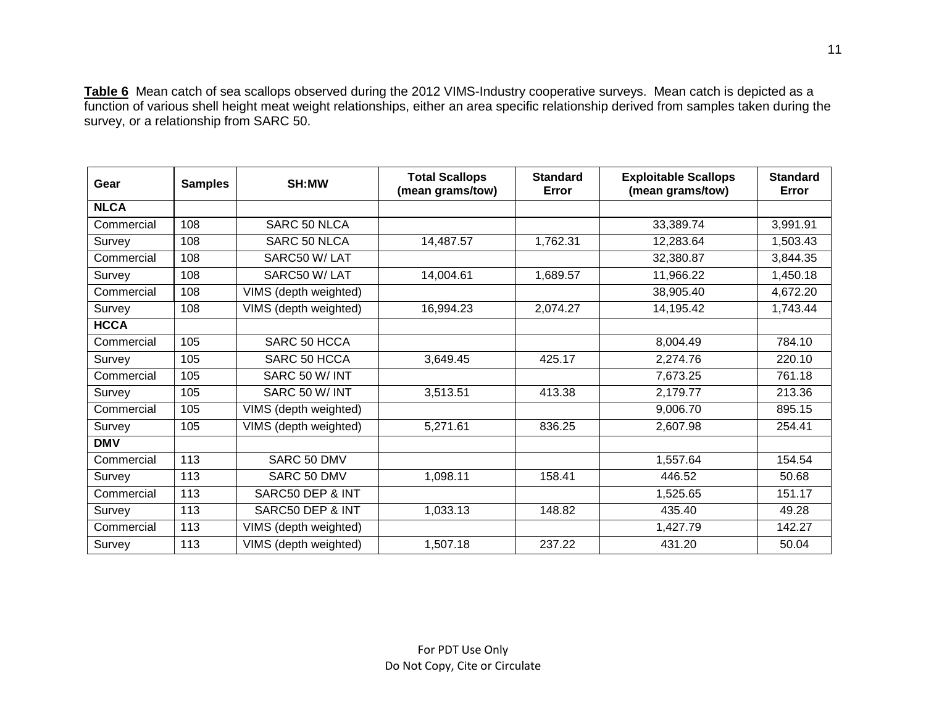**Table 6** Mean catch of sea scallops observed during the 2012 VIMS-Industry cooperative surveys. Mean catch is depicted as a function of various shell height meat weight relationships, either an area specific relationship derived from samples taken during the survey, or a relationship from SARC 50.

| Gear        | <b>Samples</b> | SH:MW                 | <b>Total Scallops</b><br>(mean grams/tow) | <b>Standard</b><br>Error | <b>Exploitable Scallops</b><br>(mean grams/tow) | <b>Standard</b><br>Error |
|-------------|----------------|-----------------------|-------------------------------------------|--------------------------|-------------------------------------------------|--------------------------|
| <b>NLCA</b> |                |                       |                                           |                          |                                                 |                          |
| Commercial  | 108            | SARC 50 NLCA          |                                           |                          | 33,389.74                                       | 3,991.91                 |
| Survey      | 108            | SARC 50 NLCA          | 14,487.57                                 | 1,762.31                 | 12,283.64                                       | 1,503.43                 |
| Commercial  | 108            | SARC50 W/LAT          |                                           |                          | 32,380.87                                       | 3,844.35                 |
| Survey      | 108            | SARC50 W/LAT          | 14,004.61                                 | 1,689.57                 | 11,966.22                                       | 1,450.18                 |
| Commercial  | 108            | VIMS (depth weighted) |                                           |                          | 38,905.40                                       | 4,672.20                 |
| Survey      | 108            | VIMS (depth weighted) | 16,994.23                                 | 2,074.27                 | 14,195.42                                       | 1,743.44                 |
| <b>HCCA</b> |                |                       |                                           |                          |                                                 |                          |
| Commercial  | 105            | SARC 50 HCCA          |                                           |                          | 8,004.49                                        | 784.10                   |
| Survey      | 105            | SARC 50 HCCA          | 3,649.45                                  | 425.17                   | 2,274.76                                        | 220.10                   |
| Commercial  | 105            | SARC 50 W/ INT        |                                           |                          | 7,673.25                                        | 761.18                   |
| Survey      | 105            | SARC 50 W/INT         | 3,513.51                                  | 413.38                   | 2,179.77                                        | 213.36                   |
| Commercial  | 105            | VIMS (depth weighted) |                                           |                          | 9,006.70                                        | 895.15                   |
| Survey      | 105            | VIMS (depth weighted) | 5,271.61                                  | 836.25                   | 2,607.98                                        | 254.41                   |
| <b>DMV</b>  |                |                       |                                           |                          |                                                 |                          |
| Commercial  | 113            | SARC 50 DMV           |                                           |                          | 1,557.64                                        | 154.54                   |
| Survey      | 113            | SARC 50 DMV           | 1,098.11                                  | 158.41                   | 446.52                                          | 50.68                    |
| Commercial  | 113            | SARC50 DEP & INT      |                                           |                          | 1,525.65                                        | 151.17                   |
| Survey      | 113            | SARC50 DEP & INT      | 1,033.13                                  | 148.82                   | 435.40                                          | 49.28                    |
| Commercial  | 113            | VIMS (depth weighted) |                                           |                          | 1,427.79                                        | 142.27                   |
| Survey      | 113            | VIMS (depth weighted) | 1,507.18                                  | 237.22                   | 431.20                                          | 50.04                    |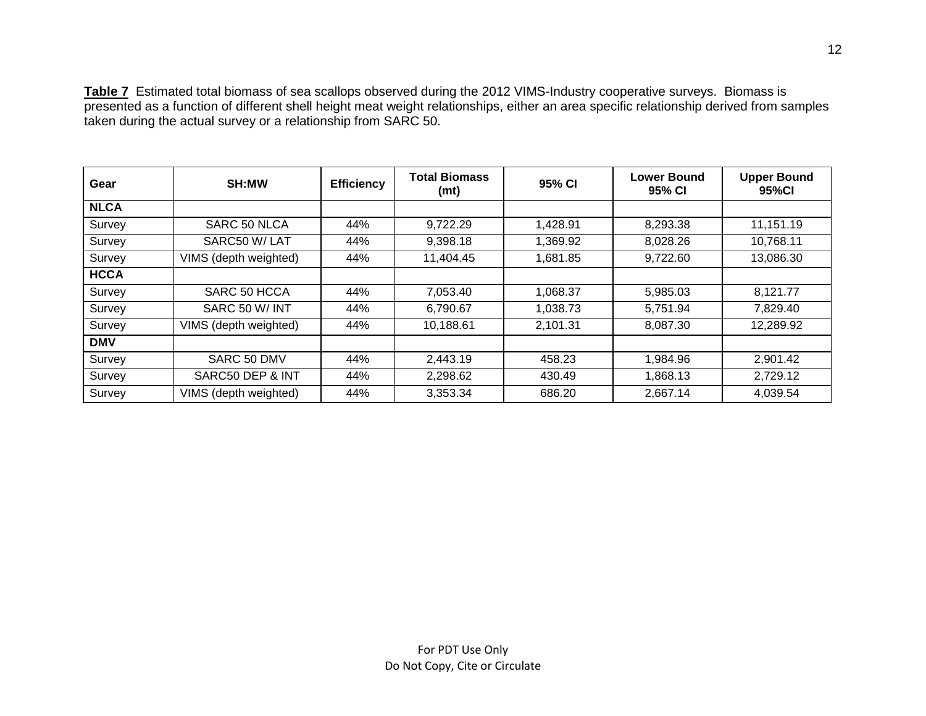**Table 7** Estimated total biomass of sea scallops observed during the 2012 VIMS-Industry cooperative surveys. Biomass is presented as a function of different shell height meat weight relationships, either an area specific relationship derived from samples taken during the actual survey or a relationship from SARC 50.

| Gear        | SH:MW                 | <b>Efficiency</b> | <b>Total Biomass</b><br>(mt) | 95% CI   | <b>Lower Bound</b><br>95% CI | <b>Upper Bound</b><br>95%CI |
|-------------|-----------------------|-------------------|------------------------------|----------|------------------------------|-----------------------------|
| <b>NLCA</b> |                       |                   |                              |          |                              |                             |
| Survey      | SARC 50 NLCA          | 44%               | 9,722.29                     | 1,428.91 | 8,293.38                     | 11,151.19                   |
| Survey      | SARC50 W/LAT          | 44%               | 9,398.18                     | 1,369.92 | 8,028.26                     | 10,768.11                   |
| Survey      | VIMS (depth weighted) | 44%               | 11,404.45                    | 1,681.85 | 9,722.60                     | 13,086.30                   |
| <b>HCCA</b> |                       |                   |                              |          |                              |                             |
| Survey      | SARC 50 HCCA          | 44%               | 7,053.40                     | 1,068.37 | 5,985.03                     | 8,121.77                    |
| Survey      | SARC 50 W/INT         | 44%               | 6,790.67                     | 1,038.73 | 5,751.94                     | 7,829.40                    |
| Survey      | VIMS (depth weighted) | 44%               | 10,188.61                    | 2,101.31 | 8,087.30                     | 12,289.92                   |
| <b>DMV</b>  |                       |                   |                              |          |                              |                             |
| Survey      | SARC 50 DMV           | 44%               | 2,443.19                     | 458.23   | 1,984.96                     | 2,901.42                    |
| Survey      | SARC50 DEP & INT      | 44%               | 2,298.62                     | 430.49   | 1,868.13                     | 2,729.12                    |
| Survey      | VIMS (depth weighted) | 44%               | 3,353.34                     | 686.20   | 2,667.14                     | 4,039.54                    |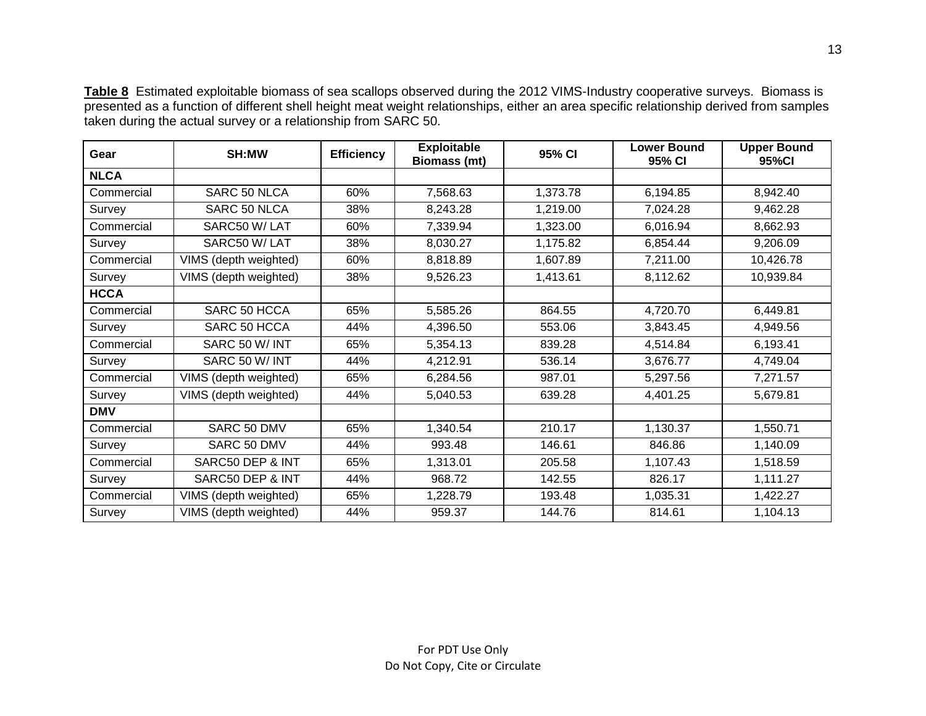**Table 8** Estimated exploitable biomass of sea scallops observed during the 2012 VIMS-Industry cooperative surveys. Biomass is presented as a function of different shell height meat weight relationships, either an area specific relationship derived from samples taken during the actual survey or a relationship from SARC 50.

| Gear        | SH:MW                 | <b>Efficiency</b> | <b>Exploitable</b><br><b>Biomass (mt)</b> | 95% CI   | <b>Lower Bound</b><br>95% CI | <b>Upper Bound</b><br>95%CI |
|-------------|-----------------------|-------------------|-------------------------------------------|----------|------------------------------|-----------------------------|
| <b>NLCA</b> |                       |                   |                                           |          |                              |                             |
| Commercial  | SARC 50 NLCA          | 60%               | 7,568.63                                  | 1,373.78 | 6,194.85                     | 8,942.40                    |
| Survey      | SARC 50 NLCA          | 38%               | 8,243.28                                  | 1,219.00 | 7,024.28                     | 9,462.28                    |
| Commercial  | SARC50 W/LAT          | 60%               | 7,339.94                                  | 1,323.00 | 6,016.94                     | 8,662.93                    |
| Survey      | SARC50 W/LAT          | 38%               | 8,030.27                                  | 1,175.82 | 6,854.44                     | 9,206.09                    |
| Commercial  | VIMS (depth weighted) | 60%               | 8,818.89                                  | 1,607.89 | 7,211.00                     | 10,426.78                   |
| Survey      | VIMS (depth weighted) | 38%               | 9,526.23                                  | 1,413.61 | 8,112.62                     | 10,939.84                   |
| <b>HCCA</b> |                       |                   |                                           |          |                              |                             |
| Commercial  | SARC 50 HCCA          | 65%               | 5,585.26                                  | 864.55   | 4,720.70                     | 6,449.81                    |
| Survey      | SARC 50 HCCA          | 44%               | 4,396.50                                  | 553.06   | 3,843.45                     | 4,949.56                    |
| Commercial  | SARC 50 W/ INT        | 65%               | 5,354.13                                  | 839.28   | 4,514.84                     | 6,193.41                    |
| Survey      | SARC 50 W/ INT        | 44%               | 4,212.91                                  | 536.14   | 3,676.77                     | 4,749.04                    |
| Commercial  | VIMS (depth weighted) | 65%               | 6,284.56                                  | 987.01   | 5,297.56                     | 7,271.57                    |
| Survey      | VIMS (depth weighted) | 44%               | 5,040.53                                  | 639.28   | 4,401.25                     | 5,679.81                    |
| <b>DMV</b>  |                       |                   |                                           |          |                              |                             |
| Commercial  | SARC 50 DMV           | 65%               | 1,340.54                                  | 210.17   | 1,130.37                     | 1,550.71                    |
| Survey      | SARC 50 DMV           | 44%               | 993.48                                    | 146.61   | 846.86                       | 1,140.09                    |
| Commercial  | SARC50 DEP & INT      | 65%               | 1,313.01                                  | 205.58   | 1,107.43                     | 1,518.59                    |
| Survey      | SARC50 DEP & INT      | 44%               | 968.72                                    | 142.55   | 826.17                       | 1,111.27                    |
| Commercial  | VIMS (depth weighted) | 65%               | 1,228.79                                  | 193.48   | 1,035.31                     | 1,422.27                    |
| Survey      | VIMS (depth weighted) | 44%               | 959.37                                    | 144.76   | 814.61                       | 1,104.13                    |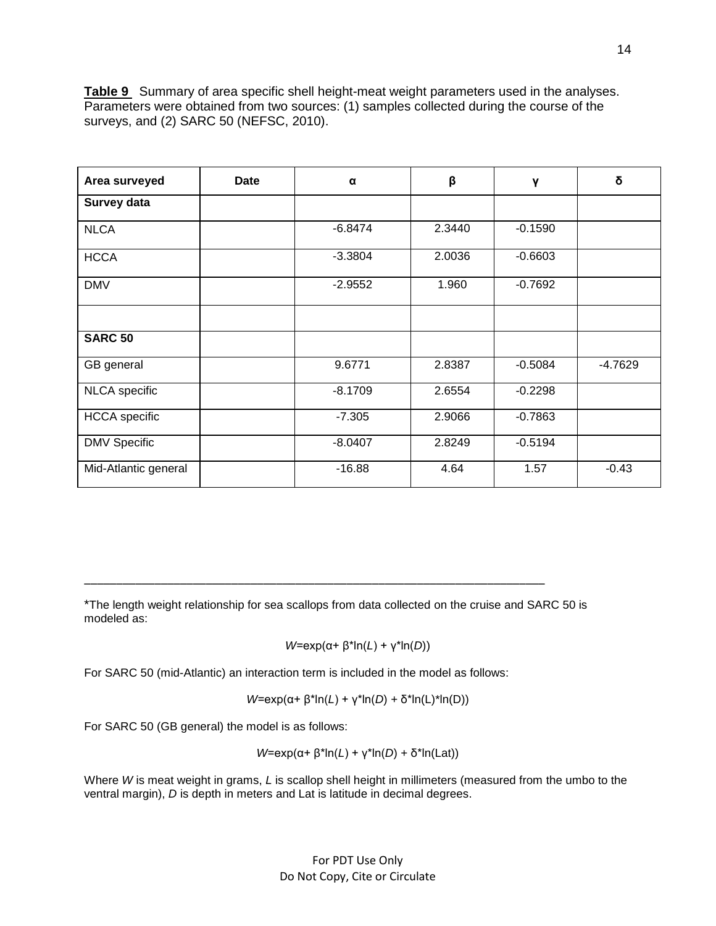**Table 9** Summary of area specific shell height-meat weight parameters used in the analyses. Parameters were obtained from two sources: (1) samples collected during the course of the surveys, and (2) SARC 50 (NEFSC, 2010).

| Area surveyed        | <b>Date</b> | α         | β      | Y         | δ         |
|----------------------|-------------|-----------|--------|-----------|-----------|
| Survey data          |             |           |        |           |           |
| <b>NLCA</b>          |             | $-6.8474$ | 2.3440 | $-0.1590$ |           |
| <b>HCCA</b>          |             | $-3.3804$ | 2.0036 | $-0.6603$ |           |
| <b>DMV</b>           |             | $-2.9552$ | 1.960  | $-0.7692$ |           |
|                      |             |           |        |           |           |
| <b>SARC 50</b>       |             |           |        |           |           |
| GB general           |             | 9.6771    | 2.8387 | $-0.5084$ | $-4.7629$ |
| <b>NLCA</b> specific |             | $-8.1709$ | 2.6554 | $-0.2298$ |           |
| <b>HCCA</b> specific |             | $-7.305$  | 2.9066 | $-0.7863$ |           |
| <b>DMV Specific</b>  |             | $-8.0407$ | 2.8249 | $-0.5194$ |           |
| Mid-Atlantic general |             | $-16.88$  | 4.64   | 1.57      | $-0.43$   |

\*The length weight relationship for sea scallops from data collected on the cruise and SARC 50 is modeled as:

\_\_\_\_\_\_\_\_\_\_\_\_\_\_\_\_\_\_\_\_\_\_\_\_\_\_\_\_\_\_\_\_\_\_\_\_\_\_\_\_\_\_\_\_\_\_\_\_\_\_\_\_\_\_\_\_\_\_\_\_\_\_\_\_\_\_\_\_\_\_\_\_

*W*=exp(α+ β\*ln(*L*) + γ\*ln(*D*))

For SARC 50 (mid-Atlantic) an interaction term is included in the model as follows:

*W*=exp(α+ β\*ln(*L*) + γ\*ln(*D*) + δ\*ln(L)\*ln(D))

For SARC 50 (GB general) the model is as follows:

*W*=exp(α+ β\*ln(*L*) + γ\*ln(*D*) + δ\*ln(Lat))

Where *W* is meat weight in grams, *L* is scallop shell height in millimeters (measured from the umbo to the ventral margin), *D* is depth in meters and Lat is latitude in decimal degrees.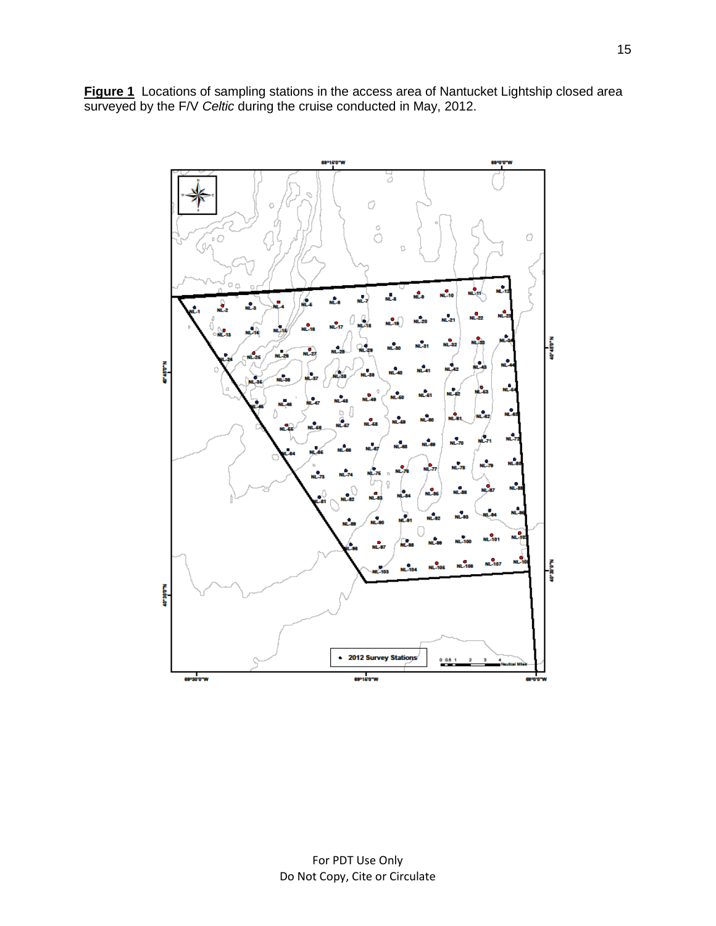**Figure 1** Locations of sampling stations in the access area of Nantucket Lightship closed area surveyed by the F/V *Celtic* during the cruise conducted in May, 2012.

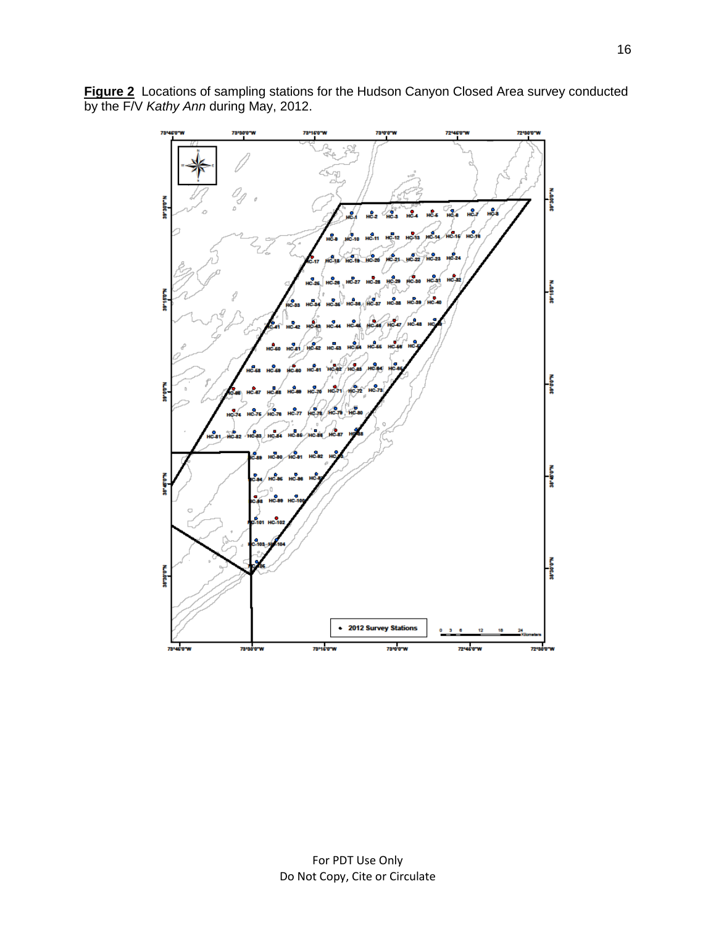

**Figure 2** Locations of sampling stations for the Hudson Canyon Closed Area survey conducted by the F/V *Kathy Ann* during May, 2012.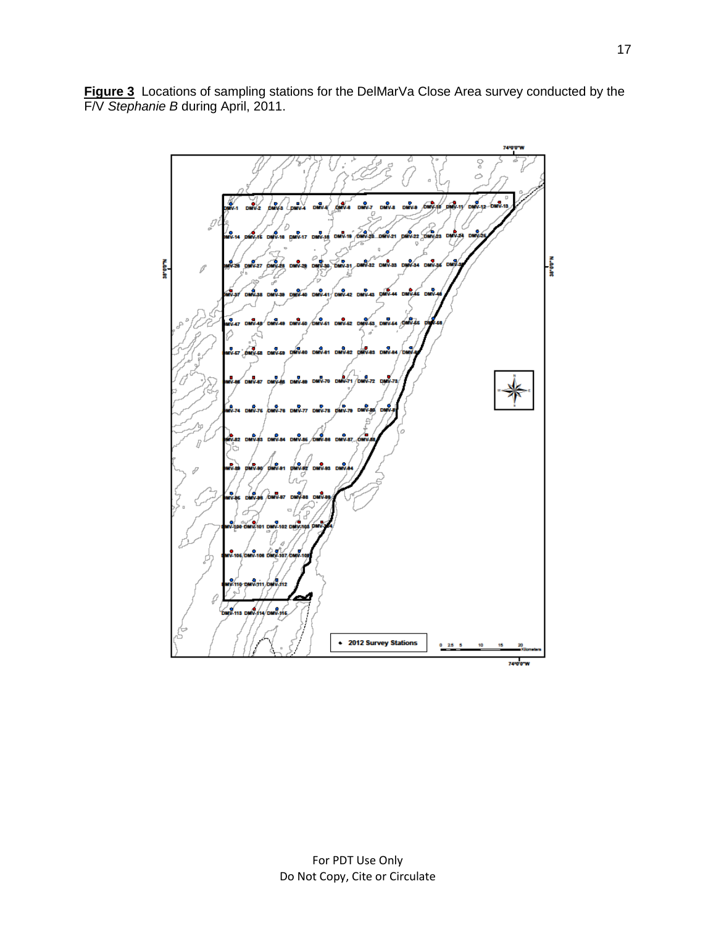**Figure 3** Locations of sampling stations for the DelMarVa Close Area survey conducted by the F/V *Stephanie B* during April, 2011.

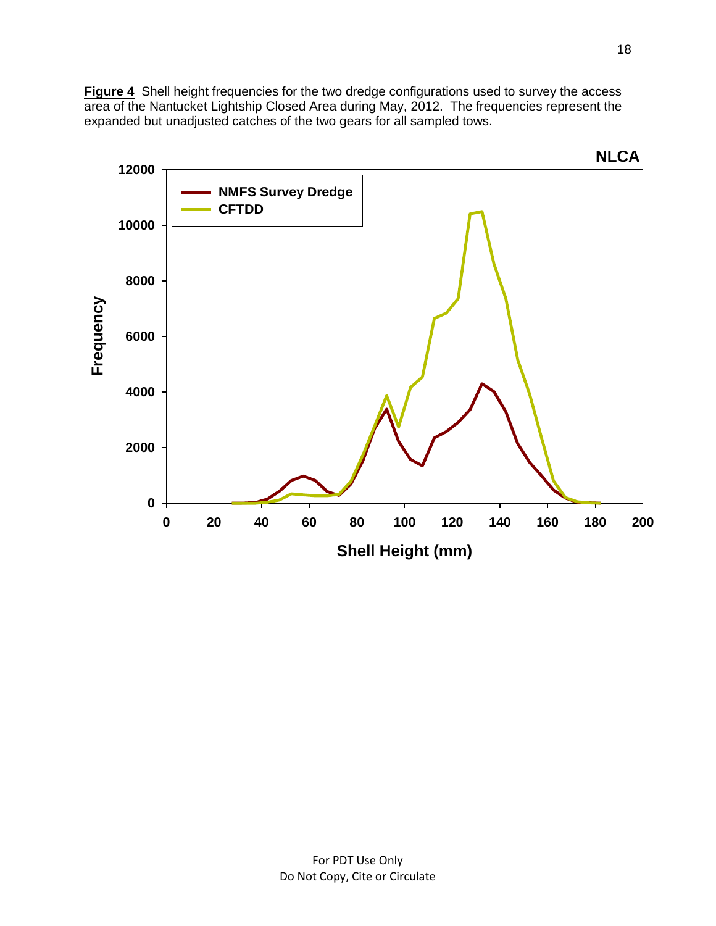**Figure 4** Shell height frequencies for the two dredge configurations used to survey the access area of the Nantucket Lightship Closed Area during May, 2012. The frequencies represent the expanded but unadjusted catches of the two gears for all sampled tows.

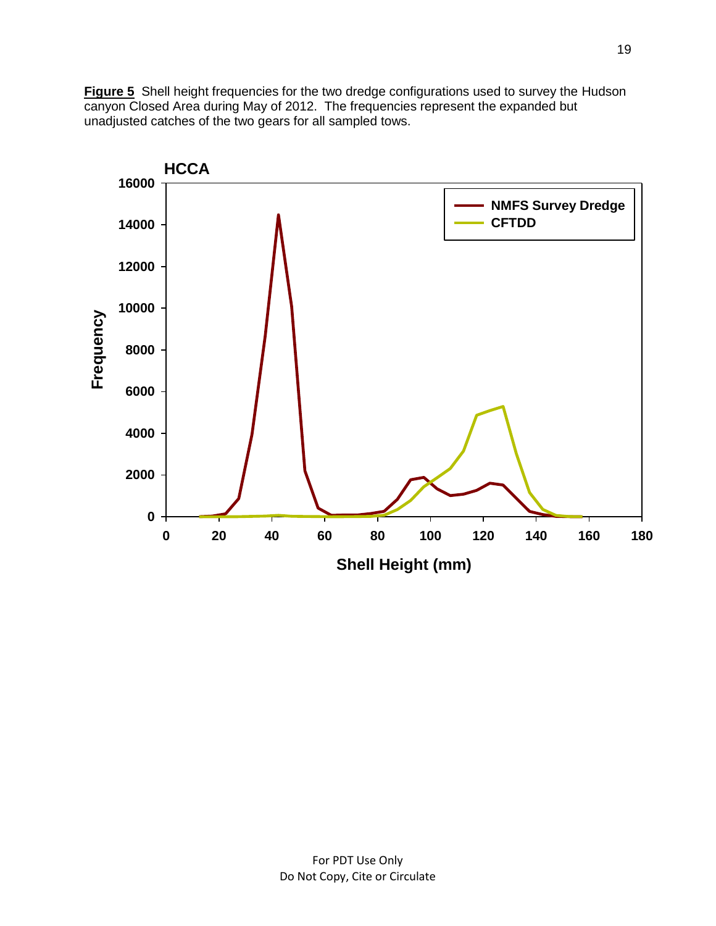**Figure 5** Shell height frequencies for the two dredge configurations used to survey the Hudson canyon Closed Area during May of 2012. The frequencies represent the expanded but unadjusted catches of the two gears for all sampled tows.